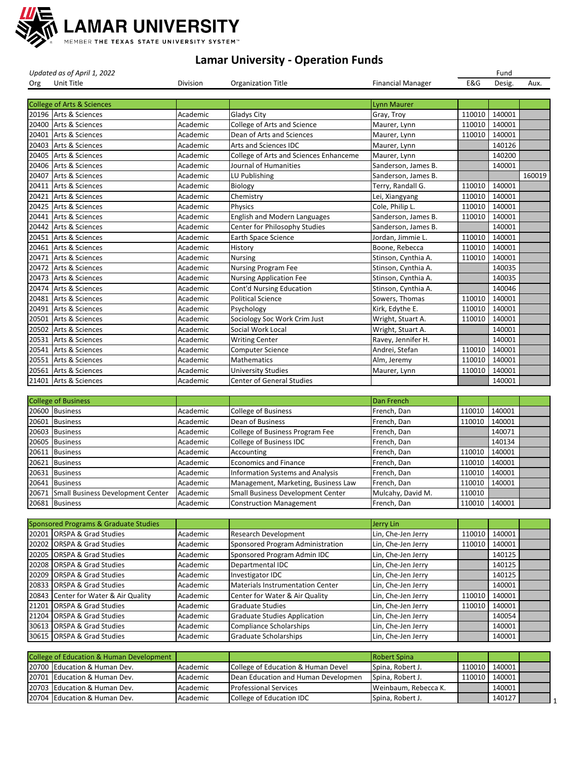

*Updated as of April 1, 2022* Fund

| Org   | Unit Title                            | Division | <b>Organization Title</b>                | <b>Financial Manager</b> | E&G    | Desig. | Aux.   |
|-------|---------------------------------------|----------|------------------------------------------|--------------------------|--------|--------|--------|
|       |                                       |          |                                          |                          |        |        |        |
|       | College of Arts & Sciences            |          |                                          | <b>Lynn Maurer</b>       |        |        |        |
|       | 20196 Arts & Sciences                 | Academic | <b>Gladys City</b>                       | Gray, Troy               | 110010 | 140001 |        |
|       | 20400 Arts & Sciences                 | Academic | College of Arts and Science              | Maurer, Lynn             | 110010 | 140001 |        |
| 20401 | Arts & Sciences                       | Academic | Dean of Arts and Sciences                | Maurer, Lynn             | 110010 | 140001 |        |
|       | 20403 Arts & Sciences                 | Academic | <b>Arts and Sciences IDC</b>             | Maurer, Lynn             |        | 140126 |        |
| 20405 | Arts & Sciences                       | Academic | College of Arts and Sciences Enhanceme   | Maurer, Lynn             |        | 140200 |        |
|       | 20406 Arts & Sciences                 | Academic | Journal of Humanities                    | Sanderson, James B.      |        | 140001 |        |
| 20407 | Arts & Sciences                       | Academic | LU Publishing                            | Sanderson, James B.      |        |        | 160019 |
| 20411 | Arts & Sciences                       | Academic | Biology                                  | Terry, Randall G.        | 110010 | 140001 |        |
| 20421 | Arts & Sciences                       | Academic | Chemistry                                | Lei, Xiangyang           | 110010 | 140001 |        |
| 20425 | Arts & Sciences                       | Academic | Physics                                  | Cole, Philip L.          | 110010 | 140001 |        |
| 20441 | Arts & Sciences                       | Academic | <b>English and Modern Languages</b>      | Sanderson, James B.      | 110010 | 140001 |        |
|       | 20442 Arts & Sciences                 | Academic | Center for Philosophy Studies            | Sanderson, James B.      |        | 140001 |        |
| 20451 | Arts & Sciences                       | Academic | <b>Earth Space Science</b>               | Jordan, Jimmie L.        | 110010 | 140001 |        |
| 20461 | Arts & Sciences                       | Academic | History                                  | Boone, Rebecca           | 110010 | 140001 |        |
| 20471 | Arts & Sciences                       | Academic | <b>Nursing</b>                           | Stinson, Cynthia A.      | 110010 | 140001 |        |
| 20472 | Arts & Sciences                       | Academic | <b>Nursing Program Fee</b>               | Stinson, Cynthia A.      |        | 140035 |        |
|       | 20473 Arts & Sciences                 | Academic | <b>Nursing Application Fee</b>           | Stinson, Cynthia A.      |        | 140035 |        |
| 20474 | Arts & Sciences                       | Academic | Cont'd Nursing Education                 | Stinson, Cynthia A.      |        | 140046 |        |
| 20481 | Arts & Sciences                       | Academic | <b>Political Science</b>                 | Sowers, Thomas           | 110010 | 140001 |        |
| 20491 | Arts & Sciences                       | Academic | Psychology                               | Kirk, Edythe E.          | 110010 | 140001 |        |
| 20501 | Arts & Sciences                       | Academic | Sociology Soc Work Crim Just             | Wright, Stuart A.        | 110010 | 140001 |        |
| 20502 | Arts & Sciences                       | Academic | Social Work Local                        | Wright, Stuart A.        |        | 140001 |        |
|       | 20531 Arts & Sciences                 | Academic | <b>Writing Center</b>                    | Ravey, Jennifer H.       |        | 140001 |        |
| 20541 | Arts & Sciences                       | Academic | <b>Computer Science</b>                  | Andrei, Stefan           | 110010 | 140001 |        |
| 20551 | Arts & Sciences                       | Academic | <b>Mathematics</b>                       | Alm, Jeremy              | 110010 | 140001 |        |
|       | 20561 Arts & Sciences                 | Academic | <b>University Studies</b>                | Maurer, Lynn             | 110010 | 140001 |        |
|       | 21401 Arts & Sciences                 | Academic | <b>Center of General Studies</b>         |                          |        | 140001 |        |
|       |                                       |          |                                          |                          |        |        |        |
|       | <b>College of Business</b>            |          |                                          | Dan French               |        |        |        |
|       | 20600 Business                        | Academic | <b>College of Business</b>               | French, Dan              | 110010 | 140001 |        |
| 20601 | <b>Business</b>                       | Academic | Dean of Business                         | French, Dan              | 110010 | 140001 |        |
| 20603 | <b>Business</b>                       | Academic | College of Business Program Fee          | French, Dan              |        | 140071 |        |
| 20605 | <b>Business</b>                       | Academic | College of Business IDC                  | French, Dan              |        | 140134 |        |
| 20611 | <b>Business</b>                       | Academic | Accounting                               | French, Dan              | 110010 | 140001 |        |
| 20621 | <b>Business</b>                       | Academic | <b>Economics and Finance</b>             | French, Dan              | 110010 | 140001 |        |
| 20631 | <b>Business</b>                       | Academic | <b>Information Systems and Analysis</b>  | French, Dan              | 110010 | 140001 |        |
| 20641 | <b>Business</b>                       | Academic | Management, Marketing, Business Law      | French, Dan              | 110010 | 140001 |        |
| 20671 | Small Business Development Center     | Academic | <b>Small Business Development Center</b> | Mulcahy, David M.        | 110010 |        |        |
|       | 20681 Business                        | Academic | <b>Construction Management</b>           | French, Dan              | 110010 | 140001 |        |
|       |                                       |          |                                          |                          |        |        |        |
|       | Sponsored Programs & Graduate Studies |          |                                          | <b>Jerry Lin</b>         |        |        |        |
| 20201 | <b>ORSPA &amp; Grad Studies</b>       | Academic | <b>Research Development</b>              | Lin, Che-Jen Jerry       | 110010 | 140001 |        |
| 20202 | <b>ORSPA &amp; Grad Studies</b>       | Academic | Sponsored Program Administration         | Lin, Che-Jen Jerry       | 110010 | 140001 |        |
| 20205 | <b>ORSPA &amp; Grad Studies</b>       | Academic | Sponsored Program Admin IDC              | Lin, Che-Jen Jerry       |        | 140125 |        |
| 20208 | <b>ORSPA &amp; Grad Studies</b>       | Academic | Departmental IDC                         | Lin, Che-Jen Jerry       |        | 140125 |        |
| 20209 | <b>ORSPA &amp; Grad Studies</b>       | Academic | Investigator IDC                         | Lin, Che-Jen Jerry       |        | 140125 |        |
| 20833 | <b>ORSPA &amp; Grad Studies</b>       | Academic | <b>Materials Instrumentation Center</b>  | Lin, Che-Jen Jerry       |        | 140001 |        |
| 20843 | Center for Water & Air Quality        | Academic | Center for Water & Air Quality           | Lin, Che-Jen Jerry       | 110010 | 140001 |        |
| 21201 | <b>ORSPA &amp; Grad Studies</b>       | Academic | <b>Graduate Studies</b>                  | Lin, Che-Jen Jerry       | 110010 | 140001 |        |
| 21204 | <b>ORSPA &amp; Grad Studies</b>       | Academic | <b>Graduate Studies Application</b>      | Lin, Che-Jen Jerry       |        | 140054 |        |
| 30613 | <b>ORSPA &amp; Grad Studies</b>       | Academic | <b>Compliance Scholarships</b>           | Lin, Che-Jen Jerry       |        | 140001 |        |
|       | 30615 ORSPA & Grad Studies            | Academic | <b>Graduate Scholarships</b>             | Lin, Che-Jen Jerry       |        | 140001 |        |
|       |                                       |          |                                          |                          |        |        |        |

| College of Education & Human Development |                   |                                     | <b>IRobert Spina</b> |                 |  |
|------------------------------------------|-------------------|-------------------------------------|----------------------|-----------------|--|
| 20700 Education & Human Dev.             | <b>IAcademic</b>  | College of Education & Human Devel  | Spina, Robert J.     | 110010   140001 |  |
| 20701 Education & Human Dev.             | <b>Academic</b>   | Dean Education and Human Developmen | Spina, Robert J.     | 110010   140001 |  |
| 20703 Education & Human Dev.             | <b>I</b> Academic | <b>Professional Services</b>        | Weinbaum, Rebecca K. | 140001          |  |
| 20704 Education & Human Dev.             | <b>I</b> Academic | College of Education IDC            | Spina, Robert J.     | 140127 l        |  |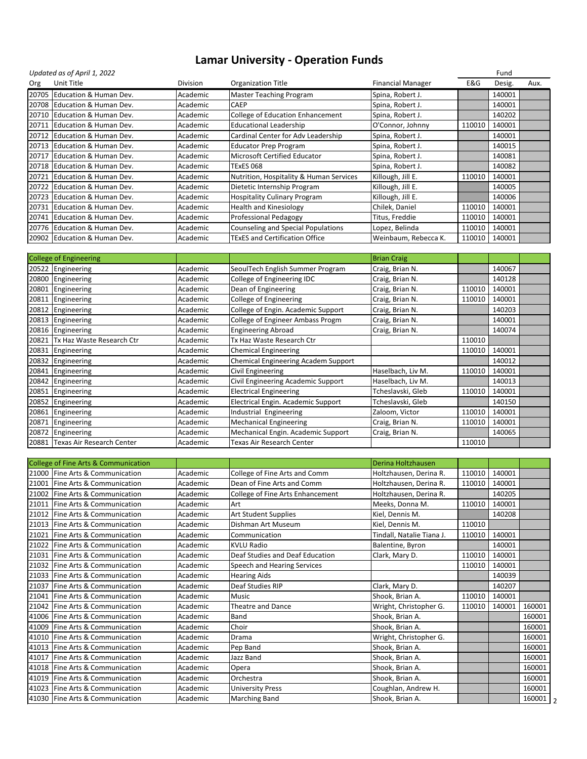|       | Updated as of April 1, 2022  |                 |                                         |                          |        | Fund   |      |
|-------|------------------------------|-----------------|-----------------------------------------|--------------------------|--------|--------|------|
| Org   | Unit Title                   | <b>Division</b> | Organization Title                      | <b>Financial Manager</b> | E&G    | Desig. | Aux. |
| 20705 | Education & Human Dev.       | Academic        | <b>Master Teaching Program</b>          | Spina, Robert J.         |        | 140001 |      |
|       | 20708 Education & Human Dev. | Academic        | <b>CAEP</b>                             | Spina, Robert J.         |        | 140001 |      |
|       | 20710 Education & Human Dev. | Academic        | College of Education Enhancement        | Spina, Robert J.         |        | 140202 |      |
| 20711 | Education & Human Dev.       | Academic        | <b>Educational Leadership</b>           | O'Connor, Johnny         | 110010 | 140001 |      |
|       | 20712 Education & Human Dev. | Academic        | Cardinal Center for Adv Leadership      | Spina, Robert J.         |        | 140001 |      |
|       | 20713 Education & Human Dev. | Academic        | <b>Educator Prep Program</b>            | Spina, Robert J.         |        | 140015 |      |
|       | 20717 Education & Human Dev. | Academic        | Microsoft Certified Educator            | Spina, Robert J.         |        | 140081 |      |
| 20718 | Education & Human Dev.       | Academic        | <b>TExES 068</b>                        | Spina, Robert J.         |        | 140082 |      |
| 20721 | Education & Human Dev.       | Academic        | Nutrition, Hospitality & Human Services | Killough, Jill E.        | 110010 | 140001 |      |
| 20722 | Education & Human Dev.       | Academic        | Dietetic Internship Program             | Killough, Jill E.        |        | 140005 |      |
|       | 20723 Education & Human Dev. | Academic        | <b>Hospitality Culinary Program</b>     | Killough, Jill E.        |        | 140006 |      |
| 20731 | Education & Human Dev.       | Academic        | <b>Health and Kinesiology</b>           | Chilek, Daniel           | 110010 | 140001 |      |
| 20741 | Education & Human Dev.       | Academic        | <b>Professional Pedagogy</b>            | Titus, Freddie           | 110010 | 140001 |      |
| 20776 | Education & Human Dev.       | Academic        | Counseling and Special Populations      | Lopez, Belinda           | 110010 | 140001 |      |
|       | 20902 Education & Human Dev. | Academic        | <b>TExES and Certification Office</b>   | Weinbaum, Rebecca K.     | 110010 | 140001 |      |
|       |                              |                 |                                         |                          |        |        |      |
|       | College of Engineering       |                 |                                         | <b>Brian Craig</b>       |        |        |      |
|       | 20522 Engineering            | Academic        | SeoulTech English Summer Program        | Craig, Brian N.          |        | 140067 |      |
|       | 20800 Engineering            | Academic        | College of Engineering IDC              | Craig, Brian N.          |        | 140128 |      |
| 20801 | Engineering                  | Academic        | Dean of Engineering                     | Craig, Brian N.          | 110010 | 140001 |      |
|       | 20811 Engineering            | Academic        | <b>College of Engineering</b>           | Craig, Brian N.          | 110010 | 140001 |      |
|       |                              |                 |                                         |                          |        |        |      |

| - 0 - - - - - - 0               |          |                                     |                   |        |        |  |
|---------------------------------|----------|-------------------------------------|-------------------|--------|--------|--|
| 20812 Engineering               | Academic | College of Engin. Academic Support  | Craig, Brian N.   |        | 140203 |  |
| 20813 Engineering               | Academic | College of Engineer Ambass Progm    | Craig, Brian N.   |        | 140001 |  |
| 20816 Engineering               | Academic | <b>Engineering Abroad</b>           | Craig, Brian N.   |        | 140074 |  |
| 20821 Tx Haz Waste Research Ctr | Academic | Tx Haz Waste Research Ctr           |                   | 110010 |        |  |
| 20831 Engineering               | Academic | <b>Chemical Engineering</b>         |                   | 110010 | 140001 |  |
| 20832 Engineering               | Academic | Chemical Engineering Academ Support |                   |        | 140012 |  |
| 20841 Engineering               | Academic | Civil Engineering                   | Haselbach, Liv M. | 110010 | 140001 |  |
| 20842 Engineering               | Academic | Civil Engineering Academic Support  | Haselbach, Liv M. |        | 140013 |  |
| 20851 Engineering               | Academic | <b>Electrical Engineering</b>       | Tcheslavski, Gleb | 110010 | 140001 |  |
| 20852 Engineering               | Academic | Electrical Engin. Academic Support  | Tcheslavski, Gleb |        | 140150 |  |
| 20861 Engineering               | Academic | Industrial Engineering              | Zaloom, Victor    | 110010 | 140001 |  |
| 20871 Engineering               | Academic | Mechanical Engineering              | Craig, Brian N.   | 110010 | 140001 |  |
| 20872 Engineering               | Academic | Mechanical Engin. Academic Support  | Craig, Brian N.   |        | 140065 |  |
| 20881 Texas Air Research Center | Academic | <b>Texas Air Research Center</b>    |                   | 110010 |        |  |

| College of Fine Arts & Communication |          |                                  | Derina Holtzhausen        |        |        |        |
|--------------------------------------|----------|----------------------------------|---------------------------|--------|--------|--------|
| 21000 Fine Arts & Communication      | Academic | College of Fine Arts and Comm    | Holtzhausen, Derina R.    | 110010 | 140001 |        |
| Fine Arts & Communication<br>21001   | Academic | Dean of Fine Arts and Comm       | Holtzhausen, Derina R.    | 110010 | 140001 |        |
| 21002<br>Fine Arts & Communication   | Academic | College of Fine Arts Enhancement | Holtzhausen, Derina R.    |        | 140205 |        |
| Fine Arts & Communication<br>21011   | Academic | Art                              | Meeks, Donna M.           | 110010 | 140001 |        |
| Fine Arts & Communication<br>21012   | Academic | Art Student Supplies             | Kiel, Dennis M.           |        | 140208 |        |
| Fine Arts & Communication<br>21013   | Academic | Dishman Art Museum               | Kiel, Dennis M.           | 110010 |        |        |
| 21021<br>Fine Arts & Communication   | Academic | Communication                    | Tindall, Natalie Tiana J. | 110010 | 140001 |        |
| Fine Arts & Communication<br>21022   | Academic | <b>KVLU Radio</b>                | Balentine, Byron          |        | 140001 |        |
| Fine Arts & Communication<br>21031   | Academic | Deaf Studies and Deaf Education  | Clark, Mary D.            | 110010 | 140001 |        |
| Fine Arts & Communication<br>21032   | Academic | Speech and Hearing Services      |                           | 110010 | 140001 |        |
| Fine Arts & Communication<br>21033   | Academic | <b>Hearing Aids</b>              |                           |        | 140039 |        |
| Fine Arts & Communication<br>21037   | Academic | Deaf Studies RIP                 | Clark, Mary D.            |        | 140207 |        |
| 21041<br>Fine Arts & Communication   | Academic | Music                            | Shook, Brian A.           | 110010 | 140001 |        |
| Fine Arts & Communication<br>21042   | Academic | <b>Theatre and Dance</b>         | Wright, Christopher G.    | 110010 | 140001 | 160001 |
| Fine Arts & Communication<br>41006   | Academic | <b>Band</b>                      | Shook, Brian A.           |        |        | 160001 |
| Fine Arts & Communication<br>41009   | Academic | Choir                            | Shook, Brian A.           |        |        | 160001 |
| Fine Arts & Communication<br>41010   | Academic | Drama                            | Wright, Christopher G.    |        |        | 160001 |
| Fine Arts & Communication<br>41013   | Academic | Pep Band                         | Shook, Brian A.           |        |        | 160001 |
| Fine Arts & Communication<br>41017   | Academic | Jazz Band                        | Shook, Brian A.           |        |        | 160001 |
| 41018 Fine Arts & Communication      | Academic | Opera                            | Shook, Brian A.           |        |        | 160001 |
| Fine Arts & Communication<br>41019   | Academic | Orchestra                        | Shook, Brian A.           |        |        | 160001 |
| 41023 Fine Arts & Communication      | Academic | <b>University Press</b>          | Coughlan, Andrew H.       |        |        | 160001 |
| 41030 Fine Arts & Communication      | Academic | <b>Marching Band</b>             | Shook, Brian A.           |        |        | 160001 |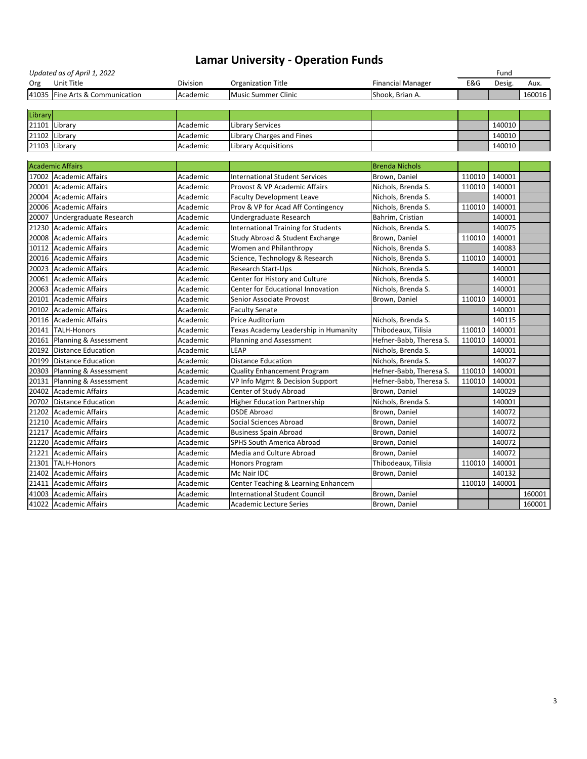|         | Updated as of April 1, 2022     |          |                                            |                          |        | Fund   |        |
|---------|---------------------------------|----------|--------------------------------------------|--------------------------|--------|--------|--------|
| Org     | Unit Title                      | Division | <b>Organization Title</b>                  | <b>Financial Manager</b> | E&G    | Desig. | Aux.   |
|         | 41035 Fine Arts & Communication | Academic | <b>Music Summer Clinic</b>                 | Shook, Brian A.          |        |        | 160016 |
|         |                                 |          |                                            |                          |        |        |        |
| Library |                                 |          |                                            |                          |        |        |        |
| 21101   | Library                         | Academic | <b>Library Services</b>                    |                          |        | 140010 |        |
| 21102   | Library                         | Academic | Library Charges and Fines                  |                          |        | 140010 |        |
| 21103   | Library                         | Academic | <b>Library Acquisitions</b>                |                          |        | 140010 |        |
|         |                                 |          |                                            |                          |        |        |        |
|         | <b>Academic Affairs</b>         |          |                                            | <b>Brenda Nichols</b>    |        |        |        |
|         | 17002 Academic Affairs          | Academic | <b>International Student Services</b>      | Brown, Daniel            | 110010 | 140001 |        |
| 20001   | <b>Academic Affairs</b>         | Academic | Provost & VP Academic Affairs              | Nichols, Brenda S.       | 110010 | 140001 |        |
|         | 20004 Academic Affairs          | Academic | <b>Faculty Development Leave</b>           | Nichols, Brenda S.       |        | 140001 |        |
| 20006   | Academic Affairs                | Academic | Prov & VP for Acad Aff Contingency         | Nichols, Brenda S.       | 110010 | 140001 |        |
| 20007   | Undergraduate Research          | Academic | Undergraduate Research                     | Bahrim, Cristian         |        | 140001 |        |
| 21230   | Academic Affairs                | Academic | <b>International Training for Students</b> | Nichols, Brenda S.       |        | 140075 |        |
| 20008   | <b>Academic Affairs</b>         | Academic | Study Abroad & Student Exchange            | Brown, Daniel            | 110010 | 140001 |        |
| 10112   | <b>Academic Affairs</b>         | Academic | Women and Philanthropy                     | Nichols, Brenda S.       |        | 140083 |        |
|         | 20016 Academic Affairs          | Academic | Science, Technology & Research             | Nichols, Brenda S.       | 110010 | 140001 |        |
| 20023   | Academic Affairs                | Academic | Research Start-Ups                         | Nichols, Brenda S.       |        | 140001 |        |
| 20061   | Academic Affairs                | Academic | Center for History and Culture             | Nichols, Brenda S.       |        | 140001 |        |
| 20063   | <b>Academic Affairs</b>         | Academic | Center for Educational Innovation          | Nichols, Brenda S.       |        | 140001 |        |
| 20101   | Academic Affairs                | Academic | Senior Associate Provost                   | Brown, Daniel            | 110010 | 140001 |        |
| 20102   | Academic Affairs                | Academic | <b>Faculty Senate</b>                      |                          |        | 140001 |        |
| 20116   | <b>Academic Affairs</b>         | Academic | Price Auditorium                           | Nichols, Brenda S.       |        | 140115 |        |
| 20141   | TALH-Honors                     | Academic | Texas Academy Leadership in Humanity       | Thibodeaux, Tilisia      | 110010 | 140001 |        |
| 20161   | Planning & Assessment           | Academic | Planning and Assessment                    | Hefner-Babb, Theresa S.  | 110010 | 140001 |        |
| 20192   | Distance Education              | Academic | <b>LEAP</b>                                | Nichols, Brenda S.       |        | 140001 |        |
| 20199   | Distance Education              | Academic | <b>Distance Education</b>                  | Nichols, Brenda S.       |        | 140027 |        |
| 20303   | Planning & Assessment           | Academic | Quality Enhancement Program                | Hefner-Babb, Theresa S.  | 110010 | 140001 |        |
| 20131   | Planning & Assessment           | Academic | VP Info Mgmt & Decision Support            | Hefner-Babb, Theresa S.  | 110010 | 140001 |        |
|         | 20402 Academic Affairs          | Academic | Center of Study Abroad                     | Brown, Daniel            |        | 140029 |        |
|         | 20702 Distance Education        | Academic | <b>Higher Education Partnership</b>        | Nichols, Brenda S.       |        | 140001 |        |
| 21202   | <b>Academic Affairs</b>         | Academic | <b>DSDE Abroad</b>                         | Brown, Daniel            |        | 140072 |        |
|         | 21210 Academic Affairs          | Academic | Social Sciences Abroad                     | Brown, Daniel            |        | 140072 |        |
| 21217   | <b>Academic Affairs</b>         | Academic | <b>Business Spain Abroad</b>               | Brown, Daniel            |        | 140072 |        |
| 21220   | <b>Academic Affairs</b>         | Academic | <b>SPHS South America Abroad</b>           | Brown, Daniel            |        | 140072 |        |
| 21221   | Academic Affairs                | Academic | Media and Culture Abroad                   | Brown, Daniel            |        | 140072 |        |
| 21301   | <b>TALH-Honors</b>              | Academic | Honors Program                             | Thibodeaux, Tilisia      | 110010 | 140001 |        |
| 21402   | <b>Academic Affairs</b>         | Academic | Mc Nair IDC                                | Brown, Daniel            |        | 140132 |        |
| 21411   | <b>Academic Affairs</b>         | Academic | Center Teaching & Learning Enhancem        |                          | 110010 | 140001 |        |
| 41003   | <b>Academic Affairs</b>         | Academic | <b>International Student Council</b>       | Brown, Daniel            |        |        | 160001 |
|         | 41022 Academic Affairs          | Academic | Academic Lecture Series                    | Brown, Daniel            |        |        | 160001 |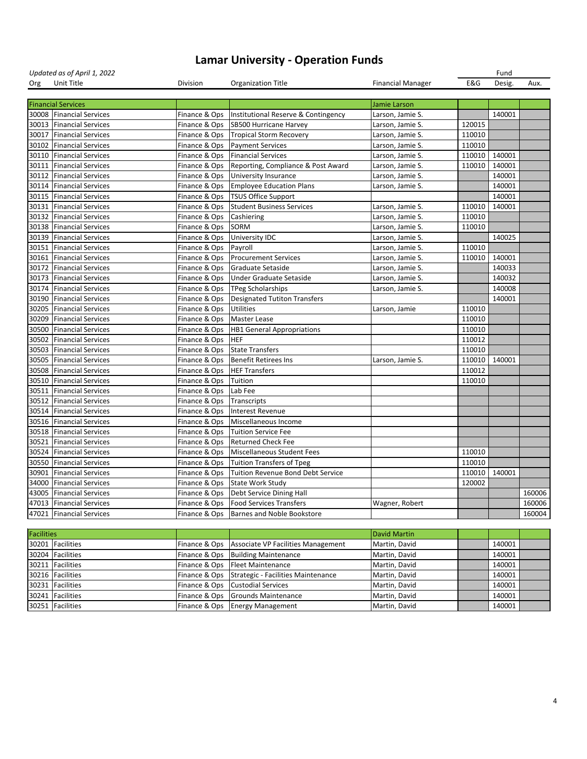| Updated as of April 1, 2022 |                           |               |                                     |                          | Fund   |        |        |
|-----------------------------|---------------------------|---------------|-------------------------------------|--------------------------|--------|--------|--------|
| Org                         | Unit Title                | Division      | <b>Organization Title</b>           | <b>Financial Manager</b> | E&G    | Desig. | Aux.   |
|                             |                           |               |                                     |                          |        |        |        |
|                             | <b>Financial Services</b> |               |                                     | Jamie Larson             |        |        |        |
|                             | 30008 Financial Services  | Finance & Ops | Institutional Reserve & Contingency | Larson, Jamie S.         |        | 140001 |        |
| 30013                       | Financial Services        | Finance & Ops | SB500 Hurricane Harvey              | Larson, Jamie S.         | 120015 |        |        |
| 30017                       | <b>Financial Services</b> | Finance & Ops | <b>Tropical Storm Recovery</b>      | Larson, Jamie S.         | 110010 |        |        |
| 30102                       | <b>Financial Services</b> | Finance & Ops | <b>Payment Services</b>             | Larson, Jamie S.         | 110010 |        |        |
| 30110                       | <b>Financial Services</b> | Finance & Ops | <b>Financial Services</b>           | Larson, Jamie S.         | 110010 | 140001 |        |
| 30111                       | <b>Financial Services</b> | Finance & Ops | Reporting, Compliance & Post Award  | Larson, Jamie S.         | 110010 | 140001 |        |
| 30112                       | <b>Financial Services</b> | Finance & Ops | <b>University Insurance</b>         | Larson, Jamie S.         |        | 140001 |        |
| 30114                       | <b>Financial Services</b> | Finance & Ops | <b>Employee Education Plans</b>     | Larson, Jamie S.         |        | 140001 |        |
| 30115                       | <b>Financial Services</b> | Finance & Ops | <b>TSUS Office Support</b>          |                          |        | 140001 |        |
| 30131                       | <b>Financial Services</b> | Finance & Ops | <b>Student Business Services</b>    | Larson, Jamie S.         | 110010 | 140001 |        |
| 30132                       | <b>Financial Services</b> | Finance & Ops | Cashiering                          | Larson, Jamie S.         | 110010 |        |        |
| 30138                       | <b>Financial Services</b> | Finance & Ops | <b>SORM</b>                         | Larson, Jamie S.         | 110010 |        |        |
| 30139                       | <b>Financial Services</b> | Finance & Ops | University IDC                      | Larson, Jamie S.         |        | 140025 |        |
| 30151                       | <b>Financial Services</b> | Finance & Ops | Payroll                             | Larson, Jamie S.         | 110010 |        |        |
| 30161                       | <b>Financial Services</b> | Finance & Ops | <b>Procurement Services</b>         | Larson, Jamie S.         | 110010 | 140001 |        |
| 30172                       | <b>Financial Services</b> | Finance & Ops | Graduate Setaside                   | Larson, Jamie S.         |        | 140033 |        |
| 30173                       | <b>Financial Services</b> | Finance & Ops | Under Graduate Setaside             | Larson, Jamie S.         |        | 140032 |        |
| 30174                       | <b>Financial Services</b> | Finance & Ops | <b>TPeg Scholarships</b>            | Larson, Jamie S.         |        | 140008 |        |
| 30190                       | <b>Financial Services</b> | Finance & Ops | <b>Designated Tutiton Transfers</b> |                          |        | 140001 |        |
| 30205                       | <b>Financial Services</b> | Finance & Ops | <b>Utilities</b>                    | Larson, Jamie            | 110010 |        |        |
| 30209                       | <b>Financial Services</b> | Finance & Ops | <b>Master Lease</b>                 |                          | 110010 |        |        |
| 30500                       | <b>Financial Services</b> | Finance & Ops | <b>HB1 General Appropriations</b>   |                          | 110010 |        |        |
| 30502                       | <b>Financial Services</b> | Finance & Ops | <b>HEF</b>                          |                          | 110012 |        |        |
| 30503                       | <b>Financial Services</b> | Finance & Ops | <b>State Transfers</b>              |                          | 110010 |        |        |
| 30505                       | <b>Financial Services</b> | Finance & Ops | <b>Benefit Retirees Ins</b>         | Larson, Jamie S.         | 110010 | 140001 |        |
| 30508                       | <b>Financial Services</b> | Finance & Ops | <b>HEF Transfers</b>                |                          | 110012 |        |        |
|                             | 30510 Financial Services  | Finance & Ops | Tuition                             |                          | 110010 |        |        |
|                             | 30511 Financial Services  | Finance & Ops | Lab Fee                             |                          |        |        |        |
|                             | 30512 Financial Services  | Finance & Ops | Transcripts                         |                          |        |        |        |
|                             | 30514 Financial Services  | Finance & Ops | Interest Revenue                    |                          |        |        |        |
|                             | 30516 Financial Services  | Finance & Ops | Miscellaneous Income                |                          |        |        |        |
|                             | 30518 Financial Services  | Finance & Ops | <b>Tuition Service Fee</b>          |                          |        |        |        |
|                             | 30521 Financial Services  | Finance & Ops | <b>Returned Check Fee</b>           |                          |        |        |        |
|                             | 30524 Financial Services  | Finance & Ops | Miscellaneous Student Fees          |                          | 110010 |        |        |
|                             | 30550 Financial Services  | Finance & Ops | Tuition Transfers of Tpeg           |                          | 110010 |        |        |
| 30901                       | <b>Financial Services</b> | Finance & Ops | Tuition Revenue Bond Debt Service   |                          | 110010 | 140001 |        |
| 34000                       | <b>Financial Services</b> | Finance & Ops | <b>State Work Study</b>             |                          | 120002 |        |        |
|                             | 43005 Financial Services  | Finance & Ops | Debt Service Dining Hall            |                          |        |        | 160006 |
|                             | 47013 Financial Services  | Finance & Ops | <b>Food Services Transfers</b>      | Wagner, Robert           |        |        | 160006 |
|                             | 47021 Financial Services  | Finance & Ops | <b>Barnes and Noble Bookstore</b>   |                          |        |        | 160004 |
|                             |                           |               |                                     |                          |        |        |        |

| <b>Facilities</b> |                  |                                                  | David Martin  |        |  |
|-------------------|------------------|--------------------------------------------------|---------------|--------|--|
|                   | 30201 Facilities | Finance & Ops Associate VP Facilities Management | Martin, David | 140001 |  |
|                   | 30204 Facilities | Finance & Ops Building Maintenance               | Martin, David | 140001 |  |
|                   | 30211 Facilities | Finance & Ops   Fleet Maintenance                | Martin, David | 140001 |  |
|                   | 30216 Facilities | Finance & Ops Strategic - Facilities Maintenance | Martin, David | 140001 |  |
|                   | 30231 Facilities | Finance & Ops Custodial Services                 | Martin, David | 140001 |  |
|                   | 30241 Facilities | Finance & Ops Grounds Maintenance                | Martin, David | 140001 |  |
|                   | 30251 Facilities | Finance & Ops   Energy Management                | Martin, David | 140001 |  |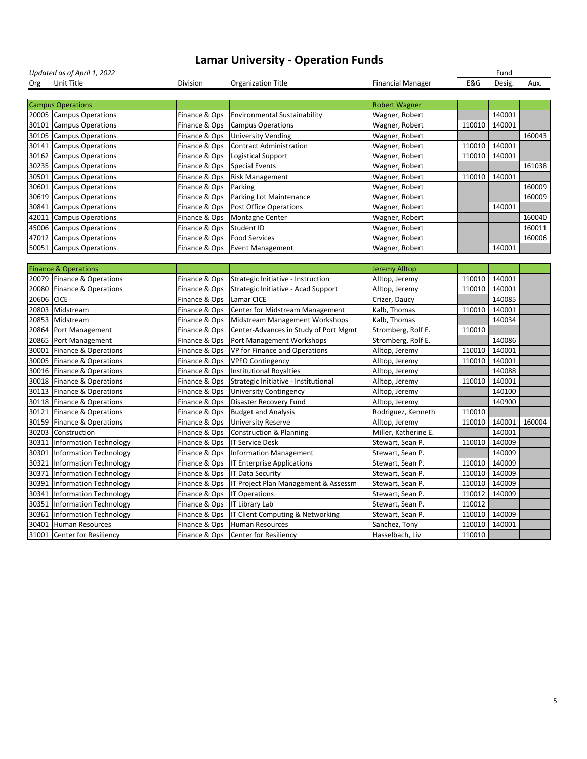|            | Updated as of April 1, 2022     |               |                                       |                          |        | Fund   |        |
|------------|---------------------------------|---------------|---------------------------------------|--------------------------|--------|--------|--------|
| Org        | Unit Title                      | Division      | <b>Organization Title</b>             | <b>Financial Manager</b> | E&G    | Desig. | Aux.   |
|            |                                 |               |                                       |                          |        |        |        |
|            | <b>Campus Operations</b>        |               |                                       | <b>Robert Wagner</b>     |        |        |        |
|            | 20005 Campus Operations         | Finance & Ops | <b>Environmental Sustainability</b>   | Wagner, Robert           |        | 140001 |        |
| 30101      | <b>Campus Operations</b>        | Finance & Ops | <b>Campus Operations</b>              | Wagner, Robert           | 110010 | 140001 |        |
| 30105      | Campus Operations               | Finance & Ops | <b>University Vending</b>             | Wagner, Robert           |        |        | 160043 |
| 30141      | Campus Operations               | Finance & Ops | <b>Contract Administration</b>        | Wagner, Robert           | 110010 | 140001 |        |
| 30162      | Campus Operations               | Finance & Ops | Logistical Support                    | Wagner, Robert           | 110010 | 140001 |        |
| 30235      | Campus Operations               | Finance & Ops | Special Events                        | Wagner, Robert           |        |        | 161038 |
| 30501      | <b>Campus Operations</b>        | Finance & Ops | <b>Risk Management</b>                | Wagner, Robert           | 110010 | 140001 |        |
| 30601      | Campus Operations               | Finance & Ops | Parking                               | Wagner, Robert           |        |        | 160009 |
| 30619      | Campus Operations               | Finance & Ops | Parking Lot Maintenance               | Wagner, Robert           |        |        | 160009 |
| 30841      | <b>Campus Operations</b>        | Finance & Ops | Post Office Operations                | Wagner, Robert           |        | 140001 |        |
| 42011      | <b>Campus Operations</b>        | Finance & Ops | Montagne Center                       | Wagner, Robert           |        |        | 160040 |
| 45006      | Campus Operations               | Finance & Ops | Student ID                            | Wagner, Robert           |        |        | 160011 |
| 47012      | Campus Operations               | Finance & Ops | <b>Food Services</b>                  | Wagner, Robert           |        |        | 160006 |
| 50051      | Campus Operations               | Finance & Ops | <b>Event Management</b>               | Wagner, Robert           |        | 140001 |        |
|            |                                 |               |                                       |                          |        |        |        |
|            | <b>Finance &amp; Operations</b> |               |                                       | Jeremy Alltop            |        |        |        |
|            | 20079 Finance & Operations      | Finance & Ops | Strategic Initiative - Instruction    | Alltop, Jeremy           | 110010 | 140001 |        |
| 20080      | Finance & Operations            | Finance & Ops | Strategic Initiative - Acad Support   | Alltop, Jeremy           | 110010 | 140001 |        |
| 20606 CICE |                                 | Finance & Ops | Lamar CICE                            | Crizer, Daucy            |        | 140085 |        |
| 20803      | Midstream                       | Finance & Ops | Center for Midstream Management       | Kalb, Thomas             | 110010 | 140001 |        |
| 20853      | Midstream                       | Finance & Ops | Midstream Management Workshops        | Kalb, Thomas             |        | 140034 |        |
| 20864      | Port Management                 | Finance & Ops | Center-Advances in Study of Port Mgmt | Stromberg, Rolf E.       | 110010 |        |        |
| 20865      | Port Management                 | Finance & Ops | Port Management Workshops             | Stromberg, Rolf E.       |        | 140086 |        |
| 30001      | Finance & Operations            | Finance & Ops | VP for Finance and Operations         | Alltop, Jeremy           | 110010 | 140001 |        |
| 30005      | Finance & Operations            | Finance & Ops | <b>VPFO Contingency</b>               | Alltop, Jeremy           | 110010 | 140001 |        |
| 30016      | Finance & Operations            | Finance & Ops | <b>Institutional Royalties</b>        | Alltop, Jeremy           |        | 140088 |        |
|            | 30018 Finance & Operations      | Finance & Ops | Strategic Initiative - Institutional  | Alltop, Jeremy           | 110010 | 140001 |        |
|            | 30113 Finance & Operations      | Finance & Ops | <b>University Contingency</b>         | Alltop, Jeremy           |        | 140100 |        |
|            | 30118 Finance & Operations      | Finance & Ops | Disaster Recovery Fund                | Alltop, Jeremy           |        | 140900 |        |
| 30121      | Finance & Operations            | Finance & Ops | <b>Budget and Analysis</b>            | Rodriguez, Kenneth       | 110010 |        |        |
| 30159      | Finance & Operations            | Finance & Ops | <b>University Reserve</b>             | Alltop, Jeremy           | 110010 | 140001 | 160004 |
| 30203      | Construction                    | Finance & Ops | Construction & Planning               | Miller, Katherine E.     |        | 140001 |        |
| 30311      | Information Technology          | Finance & Ops | <b>IT Service Desk</b>                | Stewart, Sean P.         | 110010 | 140009 |        |
| 30301      | Information Technology          | Finance & Ops | <b>Information Management</b>         | Stewart, Sean P.         |        | 140009 |        |
| 30321      | Information Technology          | Finance & Ops | <b>IT Enterprise Applications</b>     | Stewart, Sean P.         | 110010 | 140009 |        |
| 30371      | Information Technology          | Finance & Ops | <b>IT Data Security</b>               | Stewart, Sean P.         | 110010 | 140009 |        |
| 30391      | Information Technology          | Finance & Ops | IT Project Plan Management & Assessm  | Stewart, Sean P.         | 110010 | 140009 |        |
| 30341      | <b>Information Technology</b>   | Finance & Ops | <b>IT Operations</b>                  | Stewart, Sean P.         | 110012 | 140009 |        |
| 30351      | Information Technology          | Finance & Ops | <b>IT Library Lab</b>                 | Stewart, Sean P.         | 110012 |        |        |
| 30361      | Information Technology          | Finance & Ops | IT Client Computing & Networking      | Stewart, Sean P.         | 110010 | 140009 |        |
| 30401      | Human Resources                 | Finance & Ops | Human Resources                       | Sanchez, Tony            | 110010 | 140001 |        |
| 31001      | Center for Resiliency           | Finance & Ops | <b>Center for Resiliency</b>          | Hasselbach, Liv          | 110010 |        |        |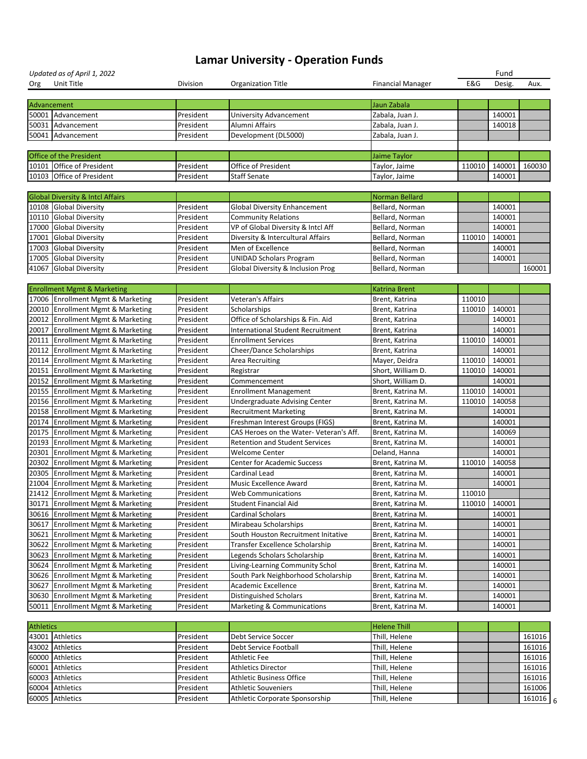|                  | Updated as of April 1, 2022                                            |                        |                                              |                          |               | Fund   |        |   |
|------------------|------------------------------------------------------------------------|------------------------|----------------------------------------------|--------------------------|---------------|--------|--------|---|
| Org              | Unit Title                                                             | Division               | <b>Organization Title</b>                    | <b>Financial Manager</b> | E&G           | Desig. | Aux.   |   |
|                  |                                                                        |                        |                                              |                          |               |        |        |   |
| Advancement      |                                                                        |                        |                                              | Jaun Zabala              |               |        |        |   |
|                  | 50001 Advancement                                                      | President              | University Advancement                       | Zabala, Juan J.          |               | 140001 |        |   |
|                  | 50031 Advancement                                                      | President              | Alumni Affairs                               | Zabala, Juan J.          |               | 140018 |        |   |
|                  | 50041 Advancement                                                      | President              | Development (DL5000)                         | Zabala, Juan J.          |               |        |        |   |
|                  |                                                                        |                        |                                              |                          |               |        |        |   |
|                  | <b>Office of the President</b>                                         |                        |                                              | Jaime Taylor             |               |        |        |   |
|                  | 10101 Office of President                                              | President              | <b>Office of President</b>                   | Taylor, Jaime            | 110010        | 140001 | 160030 |   |
|                  | 10103 Office of President                                              | President              | <b>Staff Senate</b>                          | Taylor, Jaime            |               | 140001 |        |   |
|                  |                                                                        |                        |                                              |                          |               |        |        |   |
|                  | <b>Global Diversity &amp; Intcl Affairs</b>                            |                        |                                              | <b>Norman Bellard</b>    |               |        |        |   |
|                  | 10108 Global Diversity                                                 | President              | <b>Global Diversity Enhancement</b>          | Bellard, Norman          |               | 140001 |        |   |
|                  | 10110 Global Diversity                                                 | President              | <b>Community Relations</b>                   | Bellard, Norman          |               | 140001 |        |   |
|                  | 17000 Global Diversity                                                 | President              | VP of Global Diversity & Intcl Aff           | Bellard, Norman          |               | 140001 |        |   |
| 17001            | <b>Global Diversity</b>                                                | President              | Diversity & Intercultural Affairs            | Bellard, Norman          | 110010        | 140001 |        |   |
| 17003            | <b>Global Diversity</b>                                                | President              | Men of Excellence                            | Bellard, Norman          |               | 140001 |        |   |
| 17005            | <b>Global Diversity</b>                                                | President              | <b>UNIDAD Scholars Program</b>               | Bellard, Norman          |               | 140001 |        |   |
| 41067            | <b>Global Diversity</b>                                                | President              | <b>Global Diversity &amp; Inclusion Prog</b> | Bellard, Norman          |               |        | 160001 |   |
|                  |                                                                        |                        |                                              |                          |               |        |        |   |
|                  | <b>Enrollment Mgmt &amp; Marketing</b>                                 |                        |                                              | <b>Katrina Brent</b>     |               |        |        |   |
|                  | 17006 Enrollment Mgmt & Marketing                                      | President              | Veteran's Affairs                            | Brent, Katrina           | 110010        |        |        |   |
| 20010            | <b>Enrollment Mgmt &amp; Marketing</b>                                 | President              | Scholarships                                 | Brent, Katrina           | 110010        | 140001 |        |   |
| 20012            | <b>Enrollment Mgmt &amp; Marketing</b>                                 | President              | Office of Scholarships & Fin. Aid            | Brent, Katrina           |               | 140001 |        |   |
| 20017            | <b>Enrollment Mgmt &amp; Marketing</b>                                 | President              | <b>International Student Recruitment</b>     | Brent, Katrina           |               | 140001 |        |   |
| 20111            | <b>Enrollment Mgmt &amp; Marketing</b>                                 | President              | <b>Enrollment Services</b>                   | Brent, Katrina           | 110010        | 140001 |        |   |
| 20112            | <b>Enrollment Mgmt &amp; Marketing</b>                                 | President              | Cheer/Dance Scholarships                     | Brent, Katrina           |               | 140001 |        |   |
|                  | 20114 Enrollment Mgmt & Marketing                                      | President              | <b>Area Recruiting</b>                       | Mayer, Deidra            | 110010        | 140001 |        |   |
| 20151            | <b>Enrollment Mgmt &amp; Marketing</b>                                 | President              | Registrar                                    | Short, William D.        | 110010        | 140001 |        |   |
|                  | 20152 Enrollment Mgmt & Marketing                                      | President              | Commencement                                 | Short, William D.        |               | 140001 |        |   |
|                  |                                                                        | President              |                                              | Brent, Katrina M.        | 110010 140001 |        |        |   |
|                  | 20155 Enrollment Mgmt & Marketing<br>20156 Enrollment Mgmt & Marketing | President              | <b>Enrollment Management</b>                 |                          | 110010        | 140058 |        |   |
|                  |                                                                        |                        | <b>Undergraduate Advising Center</b>         | Brent, Katrina M.        |               |        |        |   |
|                  | 20158 Enrollment Mgmt & Marketing                                      | President<br>President | <b>Recruitment Marketing</b>                 | Brent, Katrina M.        |               | 140001 |        |   |
|                  | 20174 Enrollment Mgmt & Marketing                                      |                        | Freshman Interest Groups (FIGS)              | Brent, Katrina M.        |               | 140001 |        |   |
|                  | 20175 Enrollment Mgmt & Marketing                                      | President              | CAS Heroes on the Water- Veteran's Aff.      | Brent, Katrina M.        |               | 140069 |        |   |
| 20193            | <b>Enrollment Mgmt &amp; Marketing</b>                                 | President              | <b>Retention and Student Services</b>        | Brent, Katrina M.        |               | 140001 |        |   |
| 20301            | <b>Enrollment Mgmt &amp; Marketing</b>                                 | President              | <b>Welcome Center</b>                        | Deland, Hanna            |               | 140001 |        |   |
| 20302            | <b>Enrollment Mgmt &amp; Marketing</b>                                 | President              | <b>Center for Academic Success</b>           | Brent, Katrina M.        | 110010        | 140058 |        |   |
| 20305            | <b>Enrollment Mgmt &amp; Marketing</b>                                 | President              | Cardinal Lead                                | Brent, Katrina M.        |               | 140001 |        |   |
| 21004            | <b>Enrollment Mgmt &amp; Marketing</b>                                 | President              | <b>Music Excellence Award</b>                | Brent, Katrina M.        |               | 140001 |        |   |
| 21412            | <b>Enrollment Mgmt &amp; Marketing</b>                                 | President              | <b>Web Communications</b>                    | Brent, Katrina M.        | 110010        |        |        |   |
| 30171            | <b>Enrollment Mgmt &amp; Marketing</b>                                 | President              | <b>Student Financial Aid</b>                 | Brent, Katrina M.        | 110010        | 140001 |        |   |
|                  | 30616 Enrollment Mgmt & Marketing                                      | President              | <b>Cardinal Scholars</b>                     | Brent, Katrina M.        |               | 140001 |        |   |
| 30617            | <b>Enrollment Mgmt &amp; Marketing</b>                                 | President              | Mirabeau Scholarships                        | Brent, Katrina M.        |               | 140001 |        |   |
| 30621            | <b>Enrollment Mgmt &amp; Marketing</b>                                 | President              | South Houston Recruitment Initative          | Brent, Katrina M.        |               | 140001 |        |   |
| 30622            | <b>Enrollment Mgmt &amp; Marketing</b>                                 | President              | Transfer Excellence Scholarship              | Brent, Katrina M.        |               | 140001 |        |   |
|                  | 30623 Enrollment Mgmt & Marketing                                      | President              | Legends Scholars Scholarship                 | Brent, Katrina M.        |               | 140001 |        |   |
| 30624            | <b>Enrollment Mgmt &amp; Marketing</b>                                 | President              | Living-Learning Community Schol              | Brent, Katrina M.        |               | 140001 |        |   |
|                  | 30626 Enrollment Mgmt & Marketing                                      | President              | South Park Neighborhood Scholarship          | Brent, Katrina M.        |               | 140001 |        |   |
| 30627            | <b>Enrollment Mgmt &amp; Marketing</b>                                 | President              | <b>Academic Excellence</b>                   | Brent, Katrina M.        |               | 140001 |        |   |
|                  | 30630 Enrollment Mgmt & Marketing                                      | President              | <b>Distinguished Scholars</b>                | Brent, Katrina M.        |               | 140001 |        |   |
|                  | 50011 Enrollment Mgmt & Marketing                                      | President              | <b>Marketing &amp; Communications</b>        | Brent, Katrina M.        |               | 140001 |        |   |
|                  |                                                                        |                        |                                              |                          |               |        |        |   |
| <b>Athletics</b> |                                                                        |                        |                                              | <b>Helene Thill</b>      |               |        |        |   |
| 43001            | Athletics                                                              | President              | Debt Service Soccer                          | Thill, Helene            |               |        | 161016 |   |
| 43002            | Athletics                                                              | President              | Debt Service Football                        | Thill, Helene            |               |        | 161016 |   |
|                  | 60000 Athletics                                                        | President              | <b>Athletic Fee</b>                          | Thill, Helene            |               |        | 161016 |   |
| 60001            | Athletics                                                              | President              | <b>Athletics Director</b>                    | Thill, Helene            |               |        | 161016 |   |
| 60003            | Athletics                                                              | President              | <b>Athletic Business Office</b>              | Thill, Helene            |               |        | 161016 |   |
| 60004            | Athletics                                                              | President              | <b>Athletic Souveniers</b>                   | Thill, Helene            |               |        | 161006 |   |
|                  | 60005 Athletics                                                        | President              | Athletic Corporate Sponsorship               | Thill, Helene            |               |        | 161016 | 6 |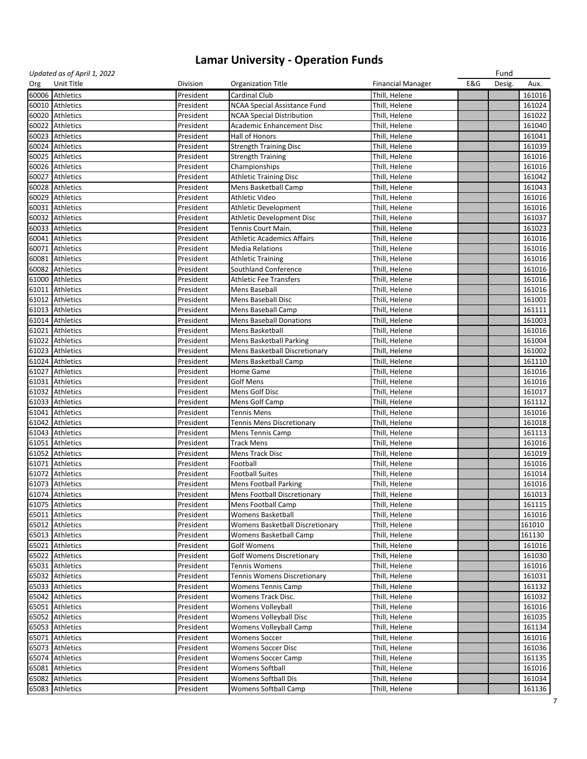|     | Updated as of April 1, 2022 |           |                                        |                          |     | Fund   |        |
|-----|-----------------------------|-----------|----------------------------------------|--------------------------|-----|--------|--------|
| Org | Unit Title                  | Division  | <b>Organization Title</b>              | <b>Financial Manager</b> | E&G | Desig. | Aux.   |
|     | 60006 Athletics             | President | <b>Cardinal Club</b>                   | Thill, Helene            |     |        | 161016 |
|     | 60010 Athletics             | President | <b>NCAA Special Assistance Fund</b>    | Thill, Helene            |     |        | 161024 |
|     | 60020 Athletics             | President | <b>NCAA Special Distribution</b>       | Thill, Helene            |     |        | 161022 |
|     | 60022 Athletics             | President | <b>Academic Enhancement Disc</b>       | Thill, Helene            |     |        | 161040 |
|     | 60023 Athletics             | President | Hall of Honors                         | Thill, Helene            |     |        | 161041 |
|     |                             |           |                                        |                          |     |        |        |
|     | 60024 Athletics             | President | <b>Strength Training Disc</b>          | Thill, Helene            |     |        | 161039 |
|     | 60025 Athletics             | President | <b>Strength Training</b>               | Thill, Helene            |     |        | 161016 |
|     | 60026 Athletics             | President | Championships                          | Thill, Helene            |     |        | 161016 |
|     | 60027 Athletics             | President | <b>Athletic Training Disc</b>          | Thill, Helene            |     |        | 161042 |
|     | 60028 Athletics             | President | Mens Basketball Camp                   | Thill, Helene            |     |        | 161043 |
|     | 60029 Athletics             | President | <b>Athletic Video</b>                  | Thill, Helene            |     |        | 161016 |
|     | 60031 Athletics             | President | <b>Athletic Development</b>            | Thill, Helene            |     |        | 161016 |
|     | 60032 Athletics             | President | <b>Athletic Development Disc</b>       | Thill, Helene            |     |        | 161037 |
|     | 60033 Athletics             | President | Tennis Court Main.                     | Thill, Helene            |     |        | 161023 |
|     | 60041 Athletics             | President | <b>Athletic Academics Affairs</b>      | Thill, Helene            |     |        | 161016 |
|     | 60071 Athletics             | President | <b>Media Relations</b>                 | Thill, Helene            |     |        | 161016 |
|     | 60081 Athletics             | President | <b>Athletic Training</b>               | Thill, Helene            |     |        | 161016 |
|     | 60082 Athletics             | President | <b>Southland Conference</b>            | Thill, Helene            |     |        | 161016 |
|     |                             |           |                                        |                          |     |        |        |
|     | 61000 Athletics             | President | <b>Athletic Fee Transfers</b>          | Thill, Helene            |     |        | 161016 |
|     | 61011 Athletics             | President | Mens Baseball                          | Thill, Helene            |     |        | 161016 |
|     | 61012 Athletics             | President | Mens Baseball Disc                     | Thill, Helene            |     |        | 161001 |
|     | 61013 Athletics             | President | Mens Baseball Camp                     | Thill, Helene            |     |        | 161111 |
|     | 61014 Athletics             | President | <b>Mens Baseball Donations</b>         | Thill, Helene            |     |        | 161003 |
|     | 61021 Athletics             | President | Mens Basketball                        | Thill, Helene            |     |        | 161016 |
|     | 61022 Athletics             | President | <b>Mens Basketball Parking</b>         | Thill, Helene            |     |        | 161004 |
|     | 61023 Athletics             | President | Mens Basketball Discretionary          | Thill, Helene            |     |        | 161002 |
|     | 61024 Athletics             | President | Mens Basketball Camp                   | Thill, Helene            |     |        | 161110 |
|     | 61027 Athletics             | President | Home Game                              | Thill, Helene            |     |        | 161016 |
|     | 61031 Athletics             | President | <b>Golf Mens</b>                       | Thill, Helene            |     |        | 161016 |
|     | 61032 Athletics             | President | Mens Golf Disc                         | Thill, Helene            |     |        | 161017 |
|     | 61033 Athletics             | President | Mens Golf Camp                         |                          |     |        | 161112 |
|     |                             |           |                                        | Thill, Helene            |     |        |        |
|     | 61041 Athletics             | President | <b>Tennis Mens</b>                     | Thill, Helene            |     |        | 161016 |
|     | 61042 Athletics             | President | <b>Tennis Mens Discretionary</b>       | Thill, Helene            |     |        | 161018 |
|     | 61043 Athletics             | President | <b>Mens Tennis Camp</b>                | Thill, Helene            |     |        | 161113 |
|     | 61051 Athletics             | President | <b>Track Mens</b>                      | Thill, Helene            |     |        | 161016 |
|     | 61052 Athletics             | President | <b>Mens Track Disc</b>                 | Thill, Helene            |     |        | 161019 |
|     | 61071 Athletics             | President | Football                               | Thill, Helene            |     |        | 161016 |
|     | 61072 Athletics             | President | <b>Football Suites</b>                 | Thill, Helene            |     |        | 161014 |
|     | 61073 Athletics             | President | <b>Mens Football Parking</b>           | Thill, Helene            |     |        | 161016 |
|     | 61074 Athletics             | President | <b>Mens Football Discretionary</b>     | Thill, Helene            |     |        | 161013 |
|     | 61075 Athletics             | President | Mens Football Camp                     | Thill, Helene            |     |        | 161115 |
|     | 65011 Athletics             | President | <b>Womens Basketball</b>               | Thill, Helene            |     |        | 161016 |
|     | 65012 Athletics             | President | <b>Womens Basketball Discretionary</b> | Thill, Helene            |     |        | 161010 |
|     | 65013 Athletics             | President | <b>Womens Basketball Camp</b>          | Thill, Helene            |     |        | 161130 |
|     | 65021 Athletics             | President | <b>Golf Womens</b>                     | Thill, Helene            |     |        | 161016 |
|     |                             |           |                                        |                          |     |        |        |
|     | 65022 Athletics             | President | <b>Golf Womens Discretionary</b>       | Thill, Helene            |     |        | 161030 |
|     | 65031 Athletics             | President | <b>Tennis Womens</b>                   | Thill, Helene            |     |        | 161016 |
|     | 65032 Athletics             | President | <b>Tennis Womens Discretionary</b>     | Thill, Helene            |     |        | 161031 |
|     | 65033 Athletics             | President | <b>Womens Tennis Camp</b>              | Thill, Helene            |     |        | 161132 |
|     | 65042 Athletics             | President | Womens Track Disc.                     | Thill, Helene            |     |        | 161032 |
|     | 65051 Athletics             | President | <b>Womens Volleyball</b>               | Thill, Helene            |     |        | 161016 |
|     | 65052 Athletics             | President | Womens Volleyball Disc                 | Thill, Helene            |     |        | 161035 |
|     | 65053 Athletics             | President | Womens Volleyball Camp                 | Thill, Helene            |     |        | 161134 |
|     | 65071 Athletics             | President | <b>Womens Soccer</b>                   | Thill, Helene            |     |        | 161016 |
|     | 65073 Athletics             | President | <b>Womens Soccer Disc</b>              | Thill, Helene            |     |        | 161036 |
|     | 65074 Athletics             | President | <b>Womens Soccer Camp</b>              | Thill, Helene            |     |        | 161135 |
|     | 65081 Athletics             | President | <b>Womens Softball</b>                 | Thill, Helene            |     |        | 161016 |
|     | 65082 Athletics             | President | <b>Womens Softball Dis</b>             | Thill, Helene            |     |        | 161034 |
|     |                             |           |                                        |                          |     |        |        |
|     | 65083 Athletics             | President | Womens Softball Camp                   | Thill, Helene            |     |        | 161136 |